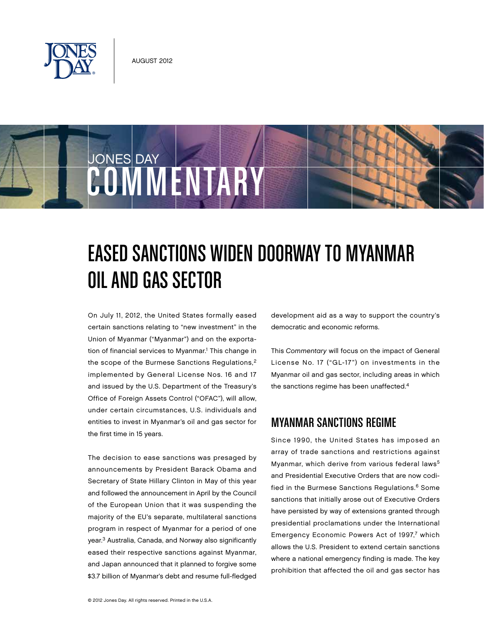

JONES DAY



On July 11, 2012, the United States formally eased certain sanctions relating to "new investment" in the Union of Myanmar ("Myanmar") and on the exportation of financial services to Myanmar.<sup>1</sup> This change in the scope of the Burmese Sanctions Regulations,<sup>2</sup> implemented by General License Nos. 16 and 17 and issued by the U.S. Department of the Treasury's Office of Foreign Assets Control ("OFAC"), will allow, under certain circumstances, U.S. individuals and entities to invest in Myanmar's oil and gas sector for the first time in 15 years.

COMMENTARY

The decision to ease sanctions was presaged by announcements by President Barack Obama and Secretary of State Hillary Clinton in May of this year and followed the announcement in April by the Council of the European Union that it was suspending the majority of the EU's separate, multilateral sanctions program in respect of Myanmar for a period of one year.3 Australia, Canada, and Norway also significantly eased their respective sanctions against Myanmar, and Japan announced that it planned to forgive some \$3.7 billion of Myanmar's debt and resume full-fledged

development aid as a way to support the country's democratic and economic reforms.

This Commentary will focus on the impact of General License No. 17 ("GL-17") on investments in the Myanmar oil and gas sector, including areas in which the sanctions regime has been unaffected.<sup>4</sup>

## Myanmar Sanctions Regime

Since 1990, the United States has imposed an array of trade sanctions and restrictions against Myanmar, which derive from various federal laws<sup>5</sup> and Presidential Executive Orders that are now codified in the Burmese Sanctions Regulations.<sup>6</sup> Some sanctions that initially arose out of Executive Orders have persisted by way of extensions granted through presidential proclamations under the International Emergency Economic Powers Act of 1997,7 which allows the U.S. President to extend certain sanctions where a national emergency finding is made. The key prohibition that affected the oil and gas sector has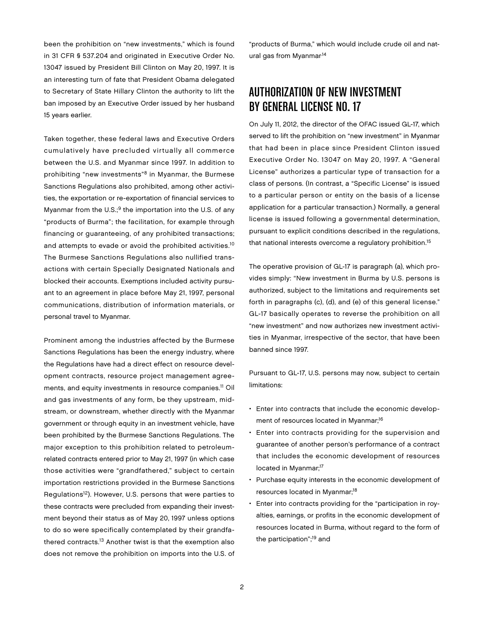been the prohibition on "new investments," which is found in 31 CFR § 537.204 and originated in Executive Order No. 13047 issued by President Bill Clinton on May 20, 1997. It is an interesting turn of fate that President Obama delegated to Secretary of State Hillary Clinton the authority to lift the ban imposed by an Executive Order issued by her husband 15 years earlier.

Taken together, these federal laws and Executive Orders cumulatively have precluded virtually all commerce between the U.S. and Myanmar since 1997. In addition to prohibiting "new investments"8 in Myanmar, the Burmese Sanctions Regulations also prohibited, among other activities, the exportation or re-exportation of financial services to Myanmar from the  $U.S.^9$  the importation into the U.S. of any "products of Burma"; the facilitation, for example through financing or guaranteeing, of any prohibited transactions; and attempts to evade or avoid the prohibited activities.10 The Burmese Sanctions Regulations also nullified transactions with certain Specially Designated Nationals and blocked their accounts. Exemptions included activity pursuant to an agreement in place before May 21, 1997, personal communications, distribution of information materials, or personal travel to Myanmar.

Prominent among the industries affected by the Burmese Sanctions Regulations has been the energy industry, where the Regulations have had a direct effect on resource development contracts, resource project management agreements, and equity investments in resource companies.<sup>11</sup> Oil and gas investments of any form, be they upstream, midstream, or downstream, whether directly with the Myanmar government or through equity in an investment vehicle, have been prohibited by the Burmese Sanctions Regulations. The major exception to this prohibition related to petroleumrelated contracts entered prior to May 21, 1997 (in which case those activities were "grandfathered," subject to certain importation restrictions provided in the Burmese Sanctions Regulations<sup>12</sup>). However, U.S. persons that were parties to these contracts were precluded from expanding their investment beyond their status as of May 20, 1997 unless options to do so were specifically contemplated by their grandfathered contracts.<sup>13</sup> Another twist is that the exemption also does not remove the prohibition on imports into the U.S. of "products of Burma," which would include crude oil and natural gas from Myanmar.14

# Authorization of New Investment by General License No. 17

On July 11, 2012, the director of the OFAC issued GL-17, which served to lift the prohibition on "new investment" in Myanmar that had been in place since President Clinton issued Executive Order No. 13047 on May 20, 1997. A "General License" authorizes a particular type of transaction for a class of persons. (In contrast, a "Specific License" is issued to a particular person or entity on the basis of a license application for a particular transaction.) Normally, a general license is issued following a governmental determination, pursuant to explicit conditions described in the regulations, that national interests overcome a regulatory prohibition.<sup>15</sup>

The operative provision of GL-17 is paragraph (a), which provides simply: "New investment in Burma by U.S. persons is authorized, subject to the limitations and requirements set forth in paragraphs (c), (d), and (e) of this general license." GL-17 basically operates to reverse the prohibition on all "new investment" and now authorizes new investment activities in Myanmar, irrespective of the sector, that have been banned since 1997.

Pursuant to GL-17, U.S. persons may now, subject to certain limitations:

- Enter into contracts that include the economic development of resources located in Myanmar;<sup>16</sup>
- Enter into contracts providing for the supervision and guarantee of another person's performance of a contract that includes the economic development of resources located in Myanmar;<sup>17</sup>
- Purchase equity interests in the economic development of resources located in Myanmar;<sup>18</sup>
- Enter into contracts providing for the "participation in royalties, earnings, or profits in the economic development of resources located in Burma, without regard to the form of the participation";<sup>19</sup> and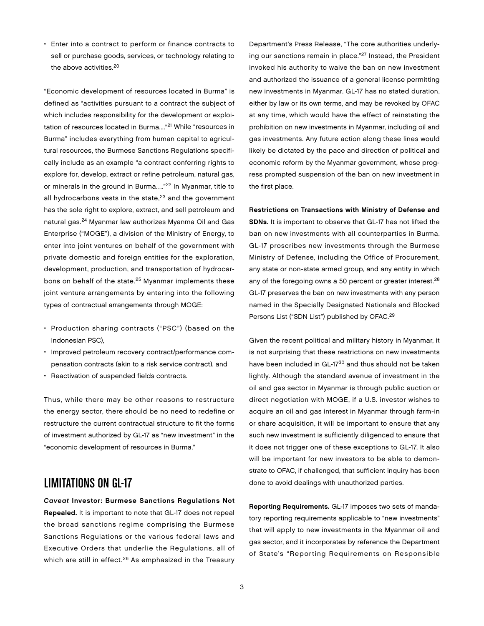• Enter into a contract to perform or finance contracts to sell or purchase goods, services, or technology relating to the above activities.20

"Economic development of resources located in Burma" is defined as "activities pursuant to a contract the subject of which includes responsibility for the development or exploitation of resources located in Burma...."21 While "resources in Burma" includes everything from human capital to agricultural resources, the Burmese Sanctions Regulations specifically include as an example "a contract conferring rights to explore for, develop, extract or refine petroleum, natural gas, or minerals in the ground in Burma…."22 In Myanmar, title to all hydrocarbons vests in the state, $23$  and the government has the sole right to explore, extract, and sell petroleum and natural gas.24 Myanmar law authorizes Myanma Oil and Gas Enterprise ("MOGE"), a division of the Ministry of Energy, to enter into joint ventures on behalf of the government with private domestic and foreign entities for the exploration, development, production, and transportation of hydrocarbons on behalf of the state.25 Myanmar implements these joint venture arrangements by entering into the following types of contractual arrangements through MOGE:

- Production sharing contracts ("PSC") (based on the Indonesian PSC),
- Improved petroleum recovery contract/performance compensation contracts (akin to a risk service contract), and
- Reactivation of suspended fields contracts.

Thus, while there may be other reasons to restructure the energy sector, there should be no need to redefine or restructure the current contractual structure to fit the forms of investment authorized by GL-17 as "new investment" in the "economic development of resources in Burma."

## Limitations on GL-17

Caveat Investor: Burmese Sanctions Regulations Not Repealed. It is important to note that GL-17 does not repeal the broad sanctions regime comprising the Burmese Sanctions Regulations or the various federal laws and Executive Orders that underlie the Regulations, all of which are still in effect.<sup>26</sup> As emphasized in the Treasury

Department's Press Release, "The core authorities underlying our sanctions remain in place."27 Instead, the President invoked his authority to waive the ban on new investment and authorized the issuance of a general license permitting new investments in Myanmar. GL-17 has no stated duration, either by law or its own terms, and may be revoked by OFAC at any time, which would have the effect of reinstating the prohibition on new investments in Myanmar, including oil and gas investments. Any future action along these lines would likely be dictated by the pace and direction of political and economic reform by the Myanmar government, whose progress prompted suspension of the ban on new investment in the first place.

Restrictions on Transactions with Ministry of Defense and SDNs. It is important to observe that GL-17 has not lifted the ban on new investments with all counterparties in Burma. GL-17 proscribes new investments through the Burmese Ministry of Defense, including the Office of Procurement, any state or non-state armed group, and any entity in which any of the foregoing owns a 50 percent or greater interest.<sup>28</sup> GL-17 preserves the ban on new investments with any person named in the Specially Designated Nationals and Blocked Persons List ("SDN List") published by OFAC.29

Given the recent political and military history in Myanmar, it is not surprising that these restrictions on new investments have been included in GL-17<sup>30</sup> and thus should not be taken lightly. Although the standard avenue of investment in the oil and gas sector in Myanmar is through public auction or direct negotiation with MOGE, if a U.S. investor wishes to acquire an oil and gas interest in Myanmar through farm-in or share acquisition, it will be important to ensure that any such new investment is sufficiently diligenced to ensure that it does not trigger one of these exceptions to GL-17. It also will be important for new investors to be able to demonstrate to OFAC, if challenged, that sufficient inquiry has been done to avoid dealings with unauthorized parties.

Reporting Requirements. GL-17 imposes two sets of mandatory reporting requirements applicable to "new investments" that will apply to new investments in the Myanmar oil and gas sector, and it incorporates by reference the Department of State's "Reporting Requirements on Responsible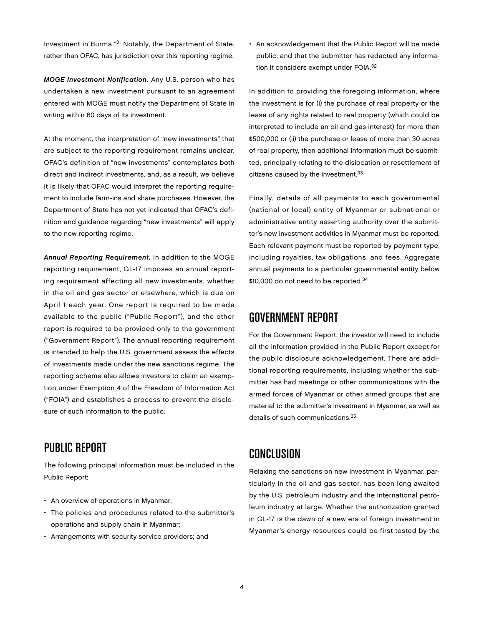Investment in Burma."31 Notably, the Department of State, rather than OFAC, has jurisdiction over this reporting regime.

MOGE Investment Notification. Any U.S. person who has undertaken a new investment pursuant to an agreement entered with MOGE must notify the Department of State in writing within 60 days of its investment.

At the moment, the interpretation of "new investments" that are subject to the reporting requirement remains unclear. OFAC's definition of "new investments" contemplates both direct and indirect investments, and, as a result, we believe it is likely that OFAC would interpret the reporting requirement to include farm-ins and share purchases. However, the Department of State has not yet indicated that OFAC's definition and guidance regarding "new investments" will apply to the new reporting regime.

Annual Reporting Requirement. In addition to the MOGE reporting requirement, GL-17 imposes an annual reporting requirement affecting all new investments, whether in the oil and gas sector or elsewhere, which is due on April 1 each year. One report is required to be made available to the public ("Public Report"), and the other report is required to be provided only to the government ("Government Report"). The annual reporting requirement is intended to help the U.S. government assess the effects of investments made under the new sanctions regime. The reporting scheme also allows investors to claim an exemption under Exemption 4 of the Freedom of Information Act ("FOIA") and establishes a process to prevent the disclosure of such information to the public.

## Public Report

The following principal information must be included in the Public Report:

- An overview of operations in Myanmar;
- The policies and procedures related to the submitter's operations and supply chain in Myanmar;
- Arrangements with security service providers; and

• An acknowledgement that the Public Report will be made public, and that the submitter has redacted any information it considers exempt under FOIA.<sup>32</sup>

In addition to providing the foregoing information, where the investment is for (i) the purchase of real property or the lease of any rights related to real property (which could be interpreted to include an oil and gas interest) for more than \$500,000 or (ii) the purchase or lease of more than 30 acres of real property, then additional information must be submitted, principally relating to the dislocation or resettlement of citizens caused by the investment.<sup>33</sup>

Finally, details of all payments to each governmental (national or local) entity of Myanmar or subnational or administrative entity asserting authority over the submitter's new investment activities in Myanmar must be reported. Each relevant payment must be reported by payment type, including royalties, tax obligations, and fees. Aggregate annual payments to a particular governmental entity below \$10,000 do not need to be reported.<sup>34</sup>

#### Government Report

For the Government Report, the investor will need to include all the information provided in the Public Report except for the public disclosure acknowledgement. There are additional reporting requirements, including whether the submitter has had meetings or other communications with the armed forces of Myanmar or other armed groups that are material to the submitter's investment in Myanmar, as well as details of such communications.<sup>35</sup>

## Conclusion

Relaxing the sanctions on new investment in Myanmar, particularly in the oil and gas sector, has been long awaited by the U.S. petroleum industry and the international petroleum industry at large. Whether the authorization granted in GL-17 is the dawn of a new era of foreign investment in Myanmar's energy resources could be first tested by the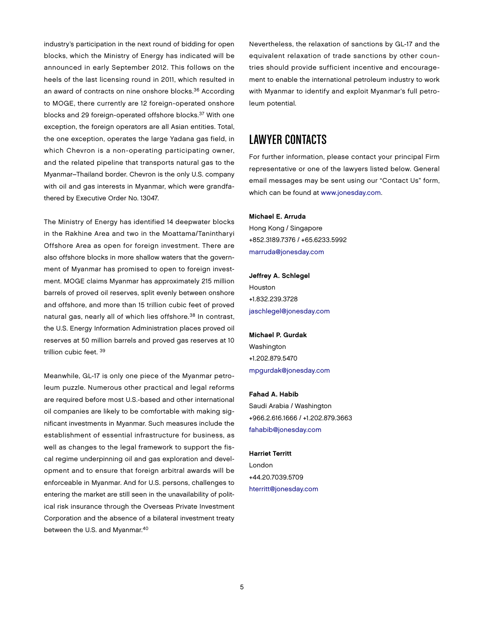industry's participation in the next round of bidding for open blocks, which the Ministry of Energy has indicated will be announced in early September 2012. This follows on the heels of the last licensing round in 2011, which resulted in an award of contracts on nine onshore blocks.<sup>36</sup> According to MOGE, there currently are 12 foreign-operated onshore blocks and 29 foreign-operated offshore blocks.37 With one exception, the foreign operators are all Asian entities. Total, the one exception, operates the large Yadana gas field, in which Chevron is a non-operating participating owner, and the related pipeline that transports natural gas to the Myanmar–Thailand border. Chevron is the only U.S. company with oil and gas interests in Myanmar, which were grandfathered by Executive Order No. 13047.

The Ministry of Energy has identified 14 deepwater blocks in the Rakhine Area and two in the Moattama/Tanintharyi Offshore Area as open for foreign investment. There are also offshore blocks in more shallow waters that the government of Myanmar has promised to open to foreign investment. MOGE claims Myanmar has approximately 215 million barrels of proved oil reserves, split evenly between onshore and offshore, and more than 15 trillion cubic feet of proved natural gas, nearly all of which lies offshore.<sup>38</sup> In contrast, the U.S. Energy Information Administration places proved oil reserves at 50 million barrels and proved gas reserves at 10 trillion cubic feet. 39

Meanwhile, GL-17 is only one piece of the Myanmar petroleum puzzle. Numerous other practical and legal reforms are required before most U.S.-based and other international oil companies are likely to be comfortable with making significant investments in Myanmar. Such measures include the establishment of essential infrastructure for business, as well as changes to the legal framework to support the fiscal regime underpinning oil and gas exploration and development and to ensure that foreign arbitral awards will be enforceable in Myanmar. And for U.S. persons, challenges to entering the market are still seen in the unavailability of political risk insurance through the Overseas Private Investment Corporation and the absence of a bilateral investment treaty between the U.S. and Myanmar.<sup>40</sup>

Nevertheless, the relaxation of sanctions by GL-17 and the equivalent relaxation of trade sanctions by other countries should provide sufficient incentive and encouragement to enable the international petroleum industry to work with Myanmar to identify and exploit Myanmar's full petroleum potential.

## Lawyer Contacts

For further information, please contact your principal Firm representative or one of the lawyers listed below. General email messages may be sent using our "Contact Us" form, which can be found at [www.jonesday.com.](http://www.jonesday.com)

#### Michael E. Arruda

Hong Kong / Singapore +852.3189.7376 / +65.6233.5992 [marruda@jonesday.com](mailto:marruda@jonesday.com)

Jeffrey A. Schlegel Houston +1.832.239.3728 [jaschlegel@jonesday.com](mailto:jaschlegel@jonesday.com)

Michael P. Gurdak Washington +1.202.879.5470 [mpgurdak@jonesday.com](mailto:mpgurdak@jonesday.com)

#### Fahad A. Habib

Saudi Arabia / Washington +966.2.616.1666 / +1.202.879.3663 [fahabib@jonesday.com](mailto:fahabib@jonesday.com)

#### Harriet Territt

London +44.20.7039.5709 [hterritt@jonesday.com](mailto:hterritt@jonesday.com)